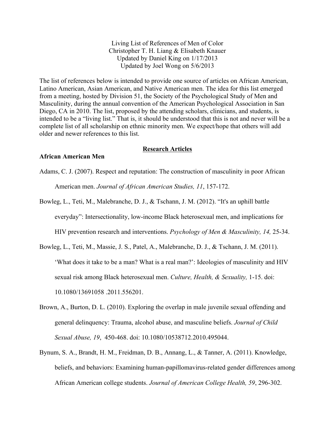Living List of References of Men of Color Christopher T. H. Liang & Elisabeth Knauer Updated by Daniel King on 1/17/2013 Updated by Joel Wong on 5/6/2013

The list of references below is intended to provide one source of articles on African American, Latino American, Asian American, and Native American men. The idea for this list emerged from a meeting, hosted by Division 51, the Society of the Psychological Study of Men and Masculinity, during the annual convention of the American Psychological Association in San Diego, CA in 2010. The list, proposed by the attending scholars, clinicians, and students, is intended to be a "living list." That is, it should be understood that this is not and never will be a complete list of all scholarship on ethnic minority men. We expect/hope that others will add older and newer references to this list.

#### **Research Articles**

# **African American Men**

Adams, C. J. (2007). Respect and reputation: The construction of masculinity in poor African American men. *Journal of African American Studies, 11*, 157-172.

Bowleg, L., Teti, M., Malebranche, D. J., & Tschann, J. M. (2012). "It's an uphill battle

everyday": Intersectionality, low-income Black heterosexual men, and implications for

HIV prevention research and interventions. *Psychology of Men & Masculinity, 14,* 25-34.

- Bowleg, L., Teti, M., Massie, J. S., Patel, A., Malebranche, D. J., & Tschann, J. M. (2011). 'What does it take to be a man? What is a real man?': Ideologies of masculinity and HIV sexual risk among Black heterosexual men. *Culture, Health, & Sexuality,* 1-15. doi: 10.1080/13691058 .2011.556201.
- Brown, A., Burton, D. L. (2010). Exploring the overlap in male juvenile sexual offending and general delinquency: Trauma, alcohol abuse, and masculine beliefs. *Journal of Child Sexual Abuse, 19*, 450-468. doi: 10.1080/10538712.2010.495044.
- Bynum, S. A., Brandt, H. M., Freidman, D. B., Annang, L., & Tanner, A. (2011). Knowledge, beliefs, and behaviors: Examining human-papillomavirus-related gender differences among African American college students. *Journal of American College Health, 59*, 296-302.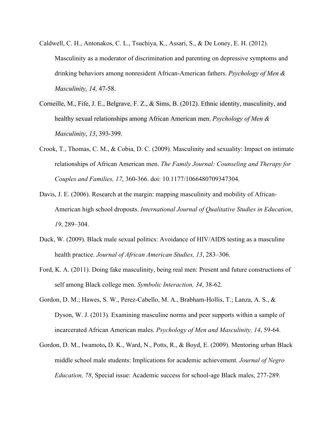- Caldwell, C. H., Antonakos, C. L., Tsuchiya, K., Assari, S., & De Loney, E. H. (2012). Masculinity as a moderator of discrimination and parenting on depressive symptoms and drinking behaviors among nonresident African-American fathers. *Psychology of Men & Masculinity, 14,* 47-58.
- Corneille, M., Fife, J. E., Belgrave, F. Z., & Sims, B. (2012). Ethnic identity, masculinity, and healthy sexual relationships among African American men. *Psychology of Men & Masculinity*, *13*, 393-399.
- Crook, T., Thomas, C. M., & Cobia, D. C. (2009). Masculinity and sexuality: Impact on intimate relationships of African American men. *The Family Journal: Counseling and Therapy for Couples and Families, 17*, 360-366. doi: 10.1177/1066480709347304.
- Davis, J. E. (2006). Research at the margin: mapping masculinity and mobility of African-American high school dropouts. *International Journal of Qualitative Studies in Education*, *19*, 289–304.
- Duck, W. (2009). Black male sexual politics: Avoidance of HIV/AIDS testing as a masculine health practice. *Journal of African American Studies, 13*, 283–306.
- Ford, K. A. (2011). Doing fake masculinity, being real men: Present and future constructions of self among Black college men. *Symbolic Interaction, 34*, 38-62.
- Gordon, D. M.; Hawes, S. W., Perez-Cabello, M. A., Brabham-Hollis, T.; Lanza, A. S., & Dyson, W. J. (2013). Examining masculine norms and peer supports within a sample of incarcerated African American males. *Psychology of Men and Masculinity, 14*, 59-64.
- Gordon, D. M., Iwamoto**,** D. K., Ward, N., Potts, R., & Boyd, E. (2009). Mentoring urban Black middle school male students: Implications for academic achievement. *Journal of Negro Education, 78*, Special issue: Academic success for school-age Black males, 277-289.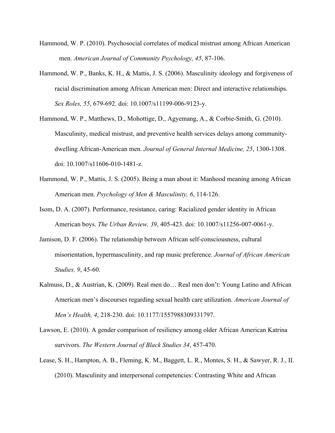- Hammond, W. P. (2010). Psychosocial correlates of medical mistrust among African American men. *American Journal of Community Psychology, 45*, 87-106.
- Hammond, W. P., Banks, K. H., & Mattis, J. S. (2006). Masculinity ideology and forgiveness of racial discrimination among African American men: Direct and interactive relationships. *Sex Roles, 55*, 679-692. doi: 10.1007/s11199-006-9123-y.
- Hammond, W. P., Matthews, D., Mohottige, D., Agyemang, A., & Corbie-Smith, G. (2010). Masculinity, medical mistrust, and preventive health services delays among communitydwelling African-American men. *Journal of General Internal Medicine, 25*, 1300-1308. doi: 10.1007/s11606-010-1481-z.
- Hammond, W. P., Mattis, J. S. (2005). Being a man about it: Manhood meaning among African American men. *Psychology of Men & Masculinity, 6*, 114-126.
- Isom, D. A. (2007). Performance, resistance, caring: Racialized gender identity in African American boys. *The Urban Review, 39*, 405-423. doi: 10.1007/s11256-007-0061-y.
- Jamison, D. F. (2006). The relationship between African self-consciousness, cultural misorientation, hypermasculinity, and rap music preference. *Journal of African American Studies, 9*, 45-60.
- Kalmuss, D., & Austrian, K. (2009). Real men do… Real men don't: Young Latino and African American men's discourses regarding sexual health care utilization. *American Journal of Men's Health, 4*, 218-230. doi: 10.1177/1557988309331797.
- Lawson, E. (2010). A gender comparison of resiliency among older African American Katrina survivors. *The Western Journal of Black Studies 34*, 457-470.
- Lease, S. H., Hampton, A. B., Fleming, K. M., Baggett, L. R., Montes, S. H., & Sawyer, R. J., II. (2010). Masculinity and interpersonal competencies: Contrasting White and African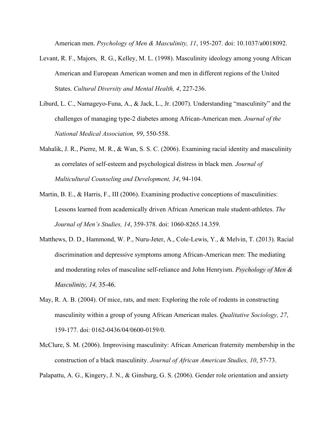American men. *Psychology of Men & Masculinity, 11*, 195-207. doi: 10.1037/a0018092.

- Levant, R. F., Majors, R. G., Kelley, M. L. (1998). Masculinity ideology among young African American and European American women and men in different regions of the United States. *Cultural Diversity and Mental Health, 4*, 227-236.
- Liburd, L. C., Namageyo-Funa, A., & Jack, L., Jr. (2007). Understanding "masculinity" and the challenges of managing type-2 diabetes among African-American men. *Journal of the National Medical Association, 99*, 550-558.
- Mahalik, J. R., Pierre, M. R., & Wan, S. S. C. (2006). Examining racial identity and masculinity as correlates of self-esteem and psychological distress in black men. *Journal of Multicultural Counseling and Development, 34*, 94-104.
- Martin, B. E., & Harris, F., III (2006). Examining productive conceptions of masculinities: Lessons learned from academically driven African American male student-athletes. *The Journal of Men's Studies, 14*, 359-378. doi: 1060-8265.14.359.
- Matthews, D. D., Hammond, W. P., Nuru-Jeter, A., Cole-Lewis, Y., & Melvin, T. (2013). Racial discrimination and depressive symptoms among African-American men: The mediating and moderating roles of masculine self-reliance and John Henryism. *Psychology of Men & Masculinity, 14,* 35-46.
- May, R. A. B. (2004). Of mice, rats, and men: Exploring the role of rodents in constructing masculinity within a group of young African American males. *Qualitative Sociology, 27*, 159-177. doi: 0162-0436/04/0600-0159/0.
- McClure, S. M. (2006). Improvising masculinity: African American fraternity membership in the construction of a black masculinity. *Journal of African American Studies, 10*, 57-73.

Palapattu, A. G., Kingery, J. N., & Ginsburg, G. S. (2006). Gender role orientation and anxiety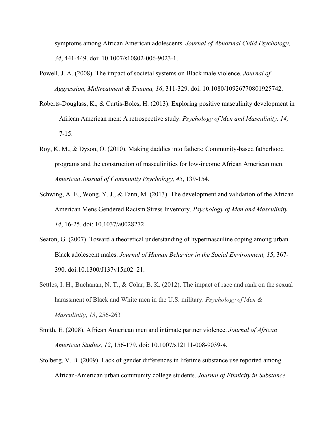symptoms among African American adolescents. *Journal of Abnormal Child Psychology, 34*, 441-449. doi: 10.1007/s10802-006-9023-1.

- Powell, J. A. (2008). The impact of societal systems on Black male violence. *Journal of Aggression, Maltreatment & Trauma, 16*, 311-329. doi: 10.1080/10926770801925742.
- Roberts-Douglass, K., & Curtis-Boles, H. (2013). Exploring positive masculinity development in African American men: A retrospective study. *Psychology of Men and Masculinity, 14,*  7-15.
- Roy, K. M., & Dyson, O. (2010). Making daddies into fathers: Community-based fatherhood programs and the construction of masculinities for low-income African American men. *American Journal of Community Psychology, 45*, 139-154.
- Schwing, A. E., Wong, Y. J., & Fann, M. (2013). The development and validation of the African American Mens Gendered Racism Stress Inventory. *Psychology of Men and Masculinity, 14*, 16-25. doi: 10.1037/a0028272
- Seaton, G. (2007). Toward a theoretical understanding of hypermasculine coping among urban Black adolescent males. *Journal of Human Behavior in the Social Environment, 15*, 367- 390. doi:10.1300/J137v15n02\_21.
- Settles, I. H., Buchanan, N. T., & Colar, B. K. (2012). The impact of race and rank on the sexual harassment of Black and White men in the U.S. military. *Psychology of Men & Masculinity*, *13*, 256-263
- Smith, E. (2008). African American men and intimate partner violence. *Journal of African American Studies, 12*, 156-179. doi: 10.1007/s12111-008-9039-4.
- Stolberg, V. B. (2009). Lack of gender differences in lifetime substance use reported among African-American urban community college students. *Journal of Ethnicity in Substance*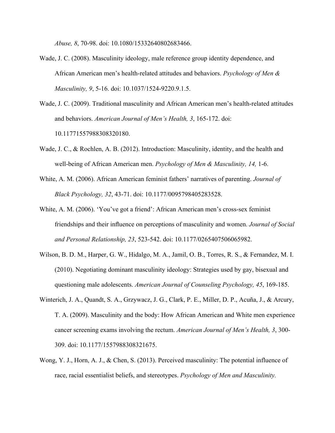*Abuse, 8*, 70-98. doi: 10.1080/15332640802683466.

- Wade, J. C. (2008). Masculinity ideology, male reference group identity dependence, and African American men's health-related attitudes and behaviors. *Psychology of Men & Masculinity, 9*, 5-16. doi: 10.1037/1524-9220.9.1.5.
- Wade, J. C. (2009). Traditional masculinity and African American men's health-related attitudes and behaviors. *American Journal of Men's Health, 3*, 165-172. doi: 10.11771557988308320180.
- Wade, J. C., & Rochlen, A. B. (2012). Introduction: Masculinity, identity, and the health and well-being of African American men. *Psychology of Men & Masculinity, 14,* 1-6.
- White, A. M. (2006). African American feminist fathers' narratives of parenting. *Journal of Black Psychology, 32*, 43-71. doi: 10.1177/0095798405283528.
- White, A. M. (2006). 'You've got a friend': African American men's cross-sex feminist friendships and their influence on perceptions of masculinity and women. *Journal of Social and Personal Relationship, 23*, 523-542. doi: 10.1177/0265407506065982.
- Wilson, B. D. M., Harper, G. W., Hidalgo, M. A., Jamil, O. B., Torres, R. S., & Fernandez, M. I. (2010). Negotiating dominant masculinity ideology: Strategies used by gay, bisexual and questioning male adolescents. *American Journal of Counseling Psychology, 45*, 169-185.
- Winterich, J. A., Quandt, S. A., Grzywacz, J. G., Clark, P. E., Miller, D. P., Acuña, J., & Arcury, T. A. (2009). Masculinity and the body: How African American and White men experience cancer screening exams involving the rectum. *American Journal of Men's Health, 3*, 300- 309. doi: 10.1177/1557988308321675.
- Wong, Y. J., Horn, A. J., & Chen, S. (2013). Perceived masculinity: The potential influence of race, racial essentialist beliefs, and stereotypes. *Psychology of Men and Masculinity.*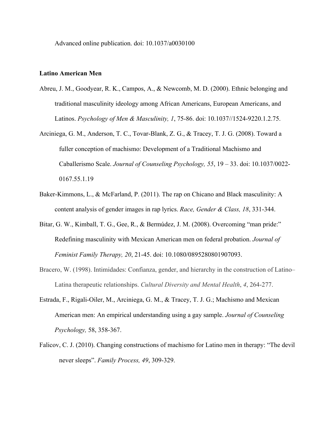Advanced online publication. doi: 10.1037/a0030100

# **Latino American Men**

- Abreu, J. M., Goodyear, R. K., Campos, A., & Newcomb, M. D. (2000). Ethnic belonging and traditional masculinity ideology among African Americans, European Americans, and Latinos. *Psychology of Men & Masculinity, 1*, 75-86. doi: 10.1037//1524-9220.1.2.75.
- Arciniega, G. M., Anderson, T. C., Tovar-Blank, Z. G., & Tracey, T. J. G. (2008). Toward a fuller conception of machismo: Development of a Traditional Machismo and Caballerismo Scale. *Journal of Counseling Psychology, 55*, 19 – 33. doi: 10.1037/0022- 0167.55.1.19
- Baker-Kimmons, L., & McFarland, P. (2011). The rap on Chicano and Black masculinity: A content analysis of gender images in rap lyrics. *Race, Gender & Class, 18*, 331-344.
- Bitar, G. W., Kimball, T. G., Gee, R., & Bermúdez, J. M. (2008). Overcoming "man pride:" Redefining masculinity with Mexican American men on federal probation. *Journal of Feminist Family Therapy, 20*, 21-45. doi: 10.1080/0895280801907093.
- Bracero, W. (1998). Intimidades: Confianza, gender, and hierarchy in the construction of Latino– Latina therapeutic relationships. *Cultural Diversity and Mental Health*, *4*, 264-277.
- Estrada, F., Rigali-Oiler, M., Arciniega, G. M., & Tracey, T. J. G.; Machismo and Mexican American men: An empirical understanding using a gay sample. *Journal of Counseling Psychology,* 58, 358-367.
- Falicov, C. J. (2010). Changing constructions of machismo for Latino men in therapy: "The devil never sleeps". *Family Process, 49*, 309-329.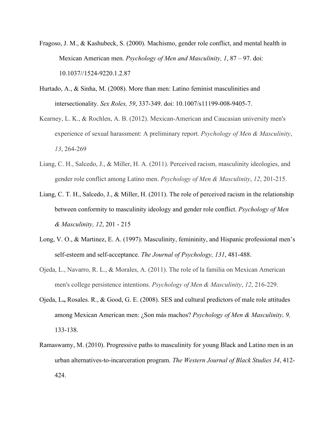- Fragoso, J. M., & Kashubeck, S. (2000). Machismo, gender role conflict, and mental health in Mexican American men. *Psychology of Men and Masculinity, 1*, 87 – 97. doi: 10.1037//1524-9220.1.2.87
- Hurtado, A., & Sinha, M. (2008). More than men: Latino feminist masculinities and intersectionality. *Sex Roles, 59*, 337-349. doi: 10.1007/s11199-008-9405-7.
- Kearney, L. K., & Rochlen, A. B. (2012). Mexican-American and Caucasian university men's experience of sexual harassment: A preliminary report. *Psychology of Men & Masculinity*, *13*, 264-269
- Liang, C. H., Salcedo, J., & Miller, H. A. (2011). Perceived racism, masculinity ideologies, and gender role conflict among Latino men. *Psychology of Men & Masculinity*, *12*, 201-215.
- Liang, C. T. H., Salcedo, J., & Miller, H. (2011). The role of perceived racism in the relationship between conformity to masculinity ideology and gender role conflict. *Psychology of Men & Masculinity, 12*, 201 - 215
- Long, V. O., & Martinez, E. A. (1997). Masculinity, femininity, and Hispanic professional men's self-esteem and self-acceptance. *The Journal of Psychology, 131*, 481-488.
- Ojeda, L., Navarro, R. L., & Morales, A. (2011). The role of la familia on Mexican American men's college persistence intentions. *Psychology of Men & Masculinity*, *12*, 216-229.
- Ojeda, L**.,** Rosales. R., & Good, G. E. (2008). SES and cultural predictors of male role attitudes among Mexican American men: ¿Son más machos? *Psychology of Men & Masculinity, 9,* 133-138.
- Ramaswamy, M. (2010). Progressive paths to masculinity for young Black and Latino men in an urban alternatives-to-incarceration program. *The Western Journal of Black Studies 34*, 412- 424.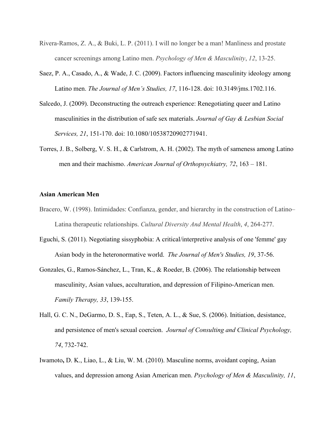- Rivera-Ramos, Z. A., & Buki, L. P. (2011). I will no longer be a man! Manliness and prostate cancer screenings among Latino men. *Psychology of Men & Masculinity*, *12*, 13-25.
- Saez, P. A., Casado, A., & Wade, J. C. (2009). Factors influencing masculinity ideology among Latino men. *The Journal of Men's Studies, 17*, 116-128. doi: 10.3149/jms.1702.116.
- Salcedo, J. (2009). Deconstructing the outreach experience: Renegotiating queer and Latino masculinities in the distribution of safe sex materials. *Journal of Gay & Lesbian Social Services, 21*, 151-170. doi: 10.1080/10538720902771941.
- Torres, J. B., Solberg, V. S. H., & Carlstrom, A. H. (2002). The myth of sameness among Latino men and their machismo. *American Journal of Orthopsychiatry, 72*, 163 – 181.

### **Asian American Men**

- Bracero, W. (1998). Intimidades: Confianza, gender, and hierarchy in the construction of Latino– Latina therapeutic relationships. *Cultural Diversity And Mental Health*, *4*, 264-277.
- Eguchi, S. (2011). Negotiating sissyphobia: A critical/interpretive analysis of one 'femme' gay Asian body in the heteronormative world. *The Journal of Men's Studies, 19*, 37-56.
- Gonzales, G., Ramos-Sánchez, L., Tran, K., & Roeder, B. (2006). The relationship between masculinity, Asian values, acculturation, and depression of Filipino-American men. *Family Therapy, 33*, 139-155.
- Hall, G. C. N., DeGarmo, D. S., Eap, S., Teten, A. L., & Sue, S. (2006). Initiation, desistance, and persistence of men's sexual coercion. *Journal of Consulting and Clinical Psychology, 74*, 732-742.
- Iwamoto**,** D. K., Liao, L., & Liu, W. M. (2010). Masculine norms, avoidant coping, Asian values, and depression among Asian American men. *Psychology of Men & Masculinity, 11*,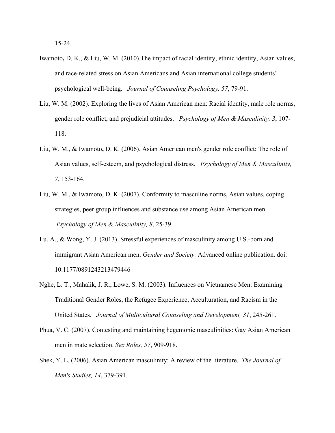15-24.

- Iwamoto**,** D. K., & Liu, W. M. (2010).The impact of racial identity, ethnic identity, Asian values, and race-related stress on Asian Americans and Asian international college students' psychological well-being. *Journal of Counseling Psychology, 57*, 79-91.
- Liu, W. M. (2002). Exploring the lives of Asian American men: Racial identity, male role norms, gender role conflict, and prejudicial attitudes. *Psychology of Men & Masculinity, 3*, 107- 118.
- Liu, W. M., & Iwamoto**,** D. K. (2006). Asian American men's gender role conflict: The role of Asian values, self-esteem, and psychological distress. *Psychology of Men & Masculinity, 7*, 153-164.
- Liu, W. M., & Iwamoto, D. K. (2007). Conformity to masculine norms, Asian values, coping strategies, peer group influences and substance use among Asian American men. *Psychology of Men & Masculinity, 8*, 25-39.
- Lu, A., & Wong, Y. J. (2013). Stressful experiences of masculinity among U.S.-born and immigrant Asian American men. *Gender and Society.* Advanced online publication. doi: 10.1177/0891243213479446
- Nghe, L. T., Mahalik, J. R., Lowe, S. M. (2003). Influences on Vietnamese Men: Examining Traditional Gender Roles, the Refugee Experience, Acculturation, and Racism in the United States. *Journal of Multicultural Counseling and Development, 31*, 245-261.
- Phua, V. C. (2007). Contesting and maintaining hegemonic masculinities: Gay Asian American men in mate selection. *Sex Roles, 57*, 909-918.
- Shek, Y. L. (2006). Asian American masculinity: A review of the literature. *The Journal of Men's Studies, 14*, 379-391.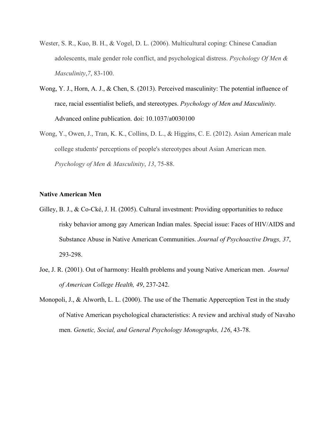- Wester, S. R., Kuo, B. H., & Vogel, D. L. (2006). Multicultural coping: Chinese Canadian adolescents, male gender role conflict, and psychological distress. *Psychology Of Men & Masculinity*,*7*, 83-100.
- Wong, Y. J., Horn, A. J., & Chen, S. (2013). Perceived masculinity: The potential influence of race, racial essentialist beliefs, and stereotypes. *Psychology of Men and Masculinity.* Advanced online publication. doi: 10.1037/a0030100
- Wong, Y., Owen, J., Tran, K. K., Collins, D. L., & Higgins, C. E. (2012). Asian American male college students' perceptions of people's stereotypes about Asian American men. *Psychology of Men & Masculinity*, *13*, 75-88.

### **Native American Men**

- Gilley, B. J., & Co-Cké, J. H. (2005). Cultural investment: Providing opportunities to reduce risky behavior among gay American Indian males. Special issue: Faces of HIV/AIDS and Substance Abuse in Native American Communities. *Journal of Psychoactive Drugs, 37*, 293-298.
- Joe, J. R. (2001). Out of harmony: Health problems and young Native American men. *Journal of American College Health, 49*, 237-242.
- Monopoli, J., & Alworth, L. L. (2000). The use of the Thematic Apperception Test in the study of Native American psychological characteristics: A review and archival study of Navaho men. *Genetic, Social, and General Psychology Monographs, 126*, 43-78.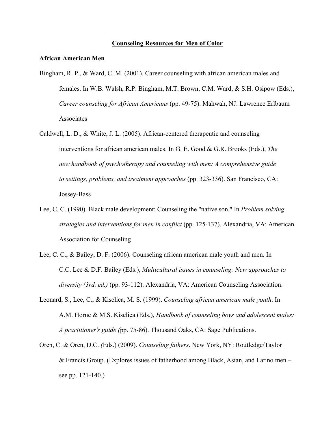### **Counseling Resources for Men of Color**

# **African American Men**

- Bingham, R. P., & Ward, C. M. (2001). Career counseling with african american males and females. In W.B. Walsh, R.P. Bingham, M.T. Brown, C.M. Ward, & S.H. Osipow (Eds.), *Career counseling for African Americans* (pp. 49-75). Mahwah, NJ: Lawrence Erlbaum Associates
- Caldwell, L. D., & White, J. L. (2005). African-centered therapeutic and counseling interventions for african american males. In G. E. Good & G.R. Brooks (Eds.), *The new handbook of psychotherapy and counseling with men: A comprehensive guide to settings, problems, and treatment approaches* (pp. 323-336). San Francisco, CA: Jossey-Bass
- Lee, C. C. (1990). Black male development: Counseling the "native son." In *Problem solving strategies and interventions for men in conflict* (pp. 125-137). Alexandria, VA: American Association for Counseling
- Lee, C. C., & Bailey, D. F. (2006). Counseling african american male youth and men. In C.C. Lee & D.F. Bailey (Eds.), *Multicultural issues in counseling: New approaches to diversity (3rd. ed.)* (pp. 93-112). Alexandria, VA: American Counseling Association.
- Leonard, S., Lee, C., & Kiselica, M. S. (1999). *Counseling african american male youth*. In A.M. Horne & M.S. Kiselica (Eds.), *Handbook of counseling boys and adolescent males: A practitioner's guide (*pp. 75-86). Thousand Oaks, CA: Sage Publications.
- Oren, C. & Oren, D.C. *(*Eds.) (2009). *Counseling fathers*. New York, NY: Routledge/Taylor & Francis Group. (Explores issues of fatherhood among Black, Asian, and Latino men – see pp. 121-140.)